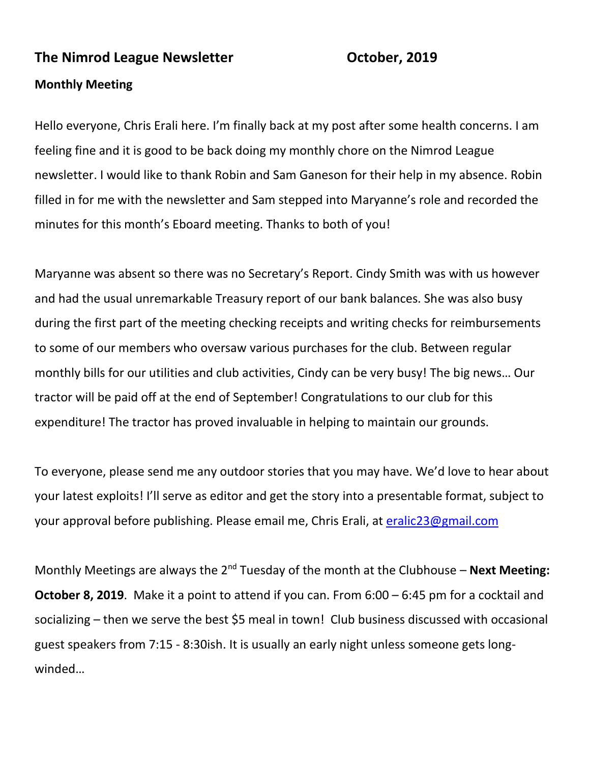#### **The Nimrod League Newsletter Consumersion Corporation Consumersion Corporation Consumersion Consumersion Consumersion Consumersion Consumersion Consumersion Consumersion Consumersion Consumersion Consumersion Consumersion**

#### **Monthly Meeting**

Hello everyone, Chris Erali here. I'm finally back at my post after some health concerns. I am feeling fine and it is good to be back doing my monthly chore on the Nimrod League newsletter. I would like to thank Robin and Sam Ganeson for their help in my absence. Robin filled in for me with the newsletter and Sam stepped into Maryanne's role and recorded the minutes for this month's Eboard meeting. Thanks to both of you!

Maryanne was absent so there was no Secretary's Report. Cindy Smith was with us however and had the usual unremarkable Treasury report of our bank balances. She was also busy during the first part of the meeting checking receipts and writing checks for reimbursements to some of our members who oversaw various purchases for the club. Between regular monthly bills for our utilities and club activities, Cindy can be very busy! The big news… Our tractor will be paid off at the end of September! Congratulations to our club for this expenditure! The tractor has proved invaluable in helping to maintain our grounds.

To everyone, please send me any outdoor stories that you may have. We'd love to hear about your latest exploits! I'll serve as editor and get the story into a presentable format, subject to your approval before publishing. Please email me, Chris Erali, at [eralic23@gmail.com](mailto:eralic23@gmail.com)

Monthly Meetings are always the 2<sup>nd</sup> Tuesday of the month at the Clubhouse – **Next Meeting: October 8, 2019**. Make it a point to attend if you can. From 6:00 – 6:45 pm for a cocktail and socializing – then we serve the best \$5 meal in town! Club business discussed with occasional guest speakers from 7:15 - 8:30ish. It is usually an early night unless someone gets longwinded…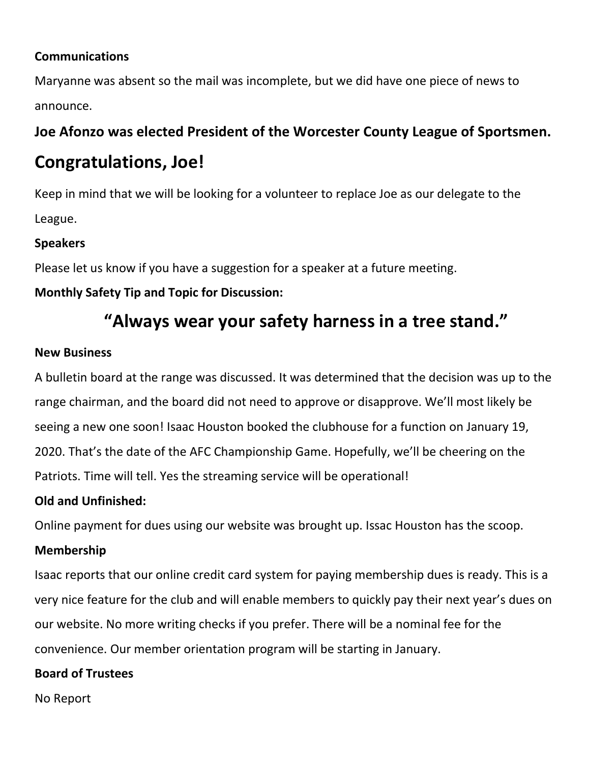## **Communications**

Maryanne was absent so the mail was incomplete, but we did have one piece of news to announce.

# **Joe Afonzo was elected President of the Worcester County League of Sportsmen.**

# **Congratulations, Joe!**

Keep in mind that we will be looking for a volunteer to replace Joe as our delegate to the League.

# **Speakers**

Please let us know if you have a suggestion for a speaker at a future meeting.

# **Monthly Safety Tip and Topic for Discussion:**

# **"Always wear your safety harness in a tree stand."**

# **New Business**

A bulletin board at the range was discussed. It was determined that the decision was up to the range chairman, and the board did not need to approve or disapprove. We'll most likely be seeing a new one soon! Isaac Houston booked the clubhouse for a function on January 19, 2020. That's the date of the AFC Championship Game. Hopefully, we'll be cheering on the Patriots. Time will tell. Yes the streaming service will be operational!

# **Old and Unfinished:**

Online payment for dues using our website was brought up. Issac Houston has the scoop.

# **Membership**

Isaac reports that our online credit card system for paying membership dues is ready. This is a very nice feature for the club and will enable members to quickly pay their next year's dues on our website. No more writing checks if you prefer. There will be a nominal fee for the convenience. Our member orientation program will be starting in January.

# **Board of Trustees**

No Report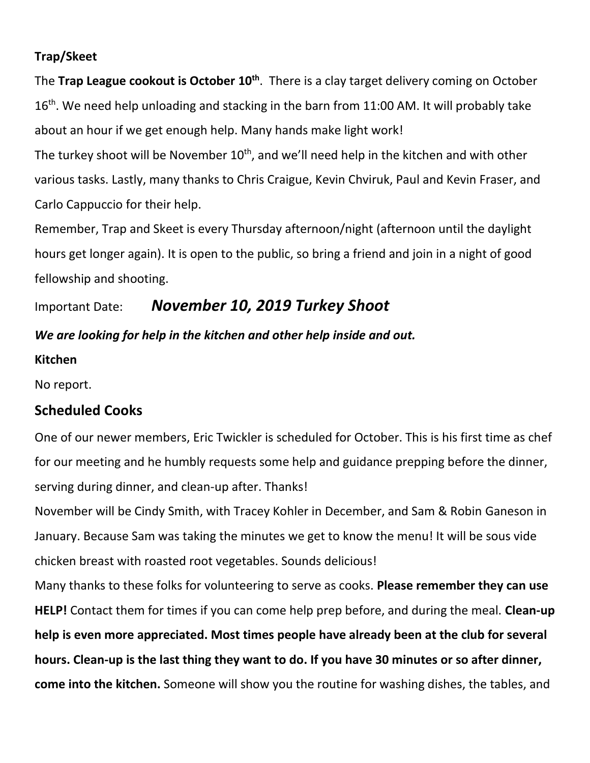## **Trap/Skeet**

The **Trap League cookout is October 10th**. There is a clay target delivery coming on October 16<sup>th</sup>. We need help unloading and stacking in the barn from 11:00 AM. It will probably take about an hour if we get enough help. Many hands make light work!

The turkey shoot will be November  $10<sup>th</sup>$ , and we'll need help in the kitchen and with other various tasks. Lastly, many thanks to Chris Craigue, Kevin Chviruk, Paul and Kevin Fraser, and Carlo Cappuccio for their help.

Remember, Trap and Skeet is every Thursday afternoon/night (afternoon until the daylight hours get longer again). It is open to the public, so bring a friend and join in a night of good fellowship and shooting.

Important Date:*November 10, 2019 Turkey Shoot*

# *We are looking for help in the kitchen and other help inside and out.*

#### **Kitchen**

No report.

# **Scheduled Cooks**

One of our newer members, Eric Twickler is scheduled for October. This is his first time as chef for our meeting and he humbly requests some help and guidance prepping before the dinner, serving during dinner, and clean-up after. Thanks!

November will be Cindy Smith, with Tracey Kohler in December, and Sam & Robin Ganeson in January. Because Sam was taking the minutes we get to know the menu! It will be sous vide chicken breast with roasted root vegetables. Sounds delicious!

Many thanks to these folks for volunteering to serve as cooks. **Please remember they can use HELP!** Contact them for times if you can come help prep before, and during the meal. **Clean-up help is even more appreciated. Most times people have already been at the club for several hours. Clean-up is the last thing they want to do. If you have 30 minutes or so after dinner, come into the kitchen.** Someone will show you the routine for washing dishes, the tables, and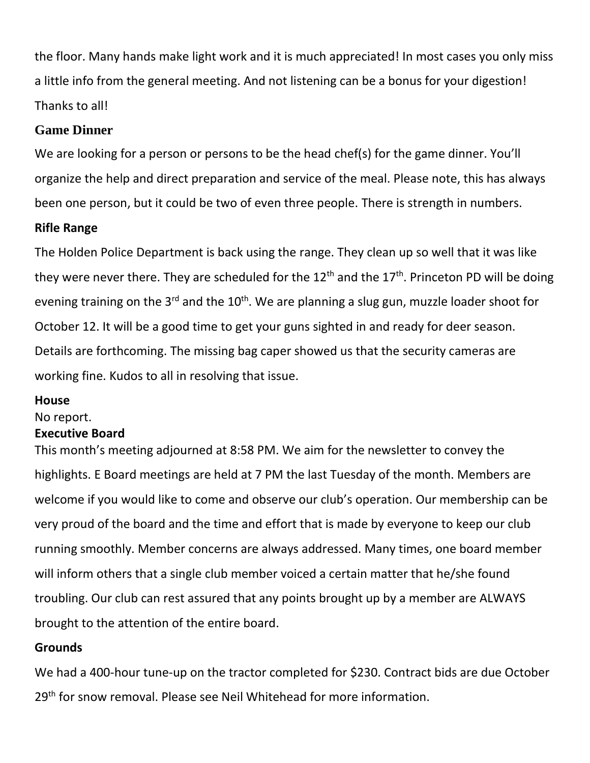the floor. Many hands make light work and it is much appreciated! In most cases you only miss a little info from the general meeting. And not listening can be a bonus for your digestion! Thanks to all!

#### **Game Dinner**

We are looking for a person or persons to be the head chef(s) for the game dinner. You'll organize the help and direct preparation and service of the meal. Please note, this has always been one person, but it could be two of even three people. There is strength in numbers.

#### **Rifle Range**

The Holden Police Department is back using the range. They clean up so well that it was like they were never there. They are scheduled for the  $12<sup>th</sup>$  and the  $17<sup>th</sup>$ . Princeton PD will be doing evening training on the 3<sup>rd</sup> and the 10<sup>th</sup>. We are planning a slug gun, muzzle loader shoot for October 12. It will be a good time to get your guns sighted in and ready for deer season. Details are forthcoming. The missing bag caper showed us that the security cameras are working fine. Kudos to all in resolving that issue.

#### **House**

No report.

#### **Executive Board**

This month's meeting adjourned at 8:58 PM. We aim for the newsletter to convey the highlights. E Board meetings are held at 7 PM the last Tuesday of the month. Members are welcome if you would like to come and observe our club's operation. Our membership can be very proud of the board and the time and effort that is made by everyone to keep our club running smoothly. Member concerns are always addressed. Many times, one board member will inform others that a single club member voiced a certain matter that he/she found troubling. Our club can rest assured that any points brought up by a member are ALWAYS brought to the attention of the entire board.

## **Grounds**

We had a 400-hour tune-up on the tractor completed for \$230. Contract bids are due October 29<sup>th</sup> for snow removal. Please see Neil Whitehead for more information.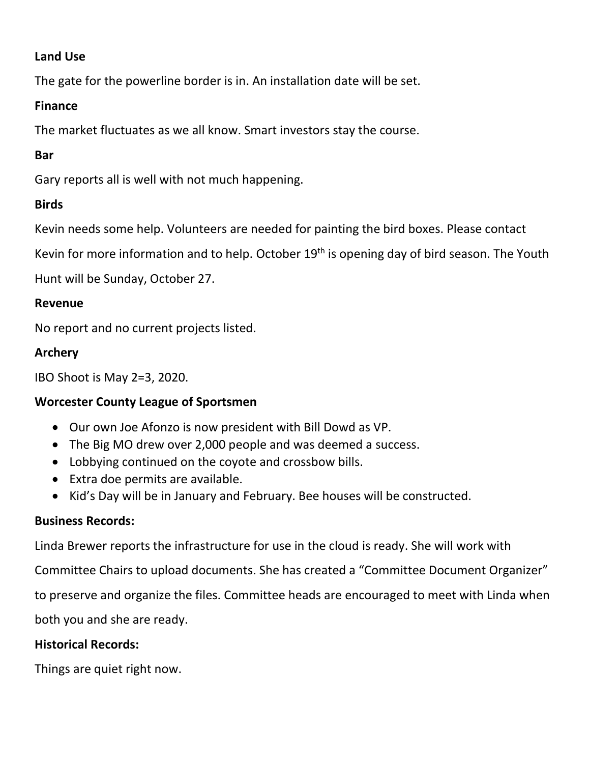## **Land Use**

The gate for the powerline border is in. An installation date will be set.

## **Finance**

The market fluctuates as we all know. Smart investors stay the course.

# **Bar**

Gary reports all is well with not much happening.

# **Birds**

Kevin needs some help. Volunteers are needed for painting the bird boxes. Please contact

Kevin for more information and to help. October  $19<sup>th</sup>$  is opening day of bird season. The Youth

Hunt will be Sunday, October 27.

## **Revenue**

No report and no current projects listed.

# **Archery**

IBO Shoot is May 2=3, 2020.

# **Worcester County League of Sportsmen**

- Our own Joe Afonzo is now president with Bill Dowd as VP.
- The Big MO drew over 2,000 people and was deemed a success.
- Lobbying continued on the coyote and crossbow bills.
- Extra doe permits are available.
- Kid's Day will be in January and February. Bee houses will be constructed.

# **Business Records:**

Linda Brewer reports the infrastructure for use in the cloud is ready. She will work with

Committee Chairs to upload documents. She has created a "Committee Document Organizer"

to preserve and organize the files. Committee heads are encouraged to meet with Linda when

both you and she are ready.

# **Historical Records:**

Things are quiet right now.